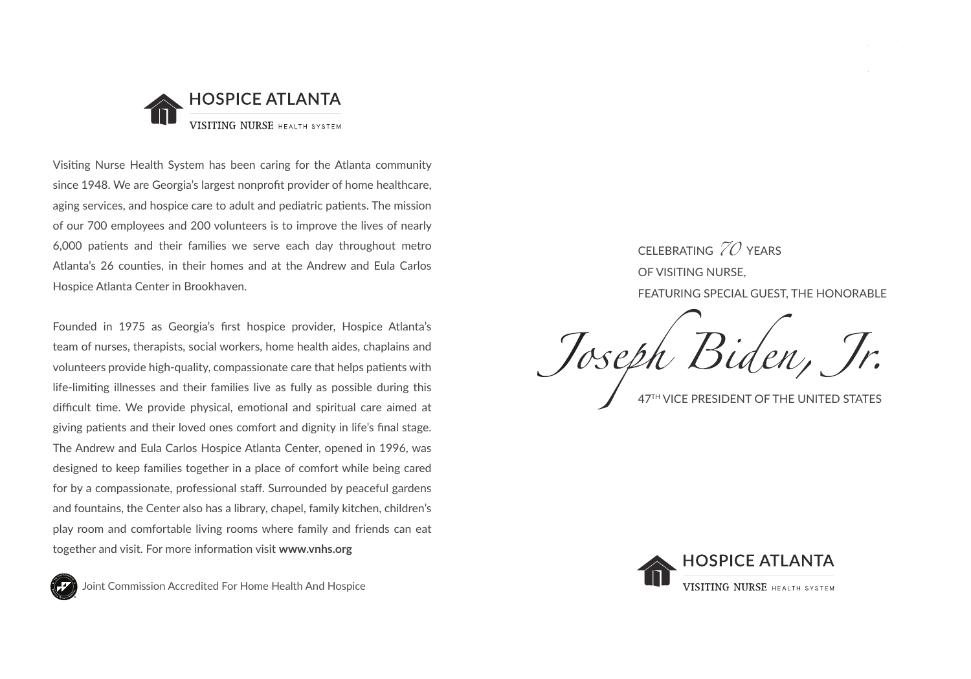

Visiting Nurse Health System has been caring for the Atlanta community since 1948. We are Georgia's largest nonprofit provider of home healthcare, aging services, and hospice care to adult and pediatric patients. The mission of our 700 employees and 200 volunteers is to improve the lives of nearly 6,000 patients and their families we serve each day throughout metro Atlanta's 26 counties, in their homes and at the Andrew and Eula Carlos Hospice Atlanta Center in Brookhaven.

Founded in 1975 as Georgia's first hospice provider, Hospice Atlanta's team of nurses, therapists, social workers, home health aides, chaplains and volunteers provide high-quality, compassionate care that helps patients with life-limiting illnesses and their families live as fully as possible during this difficult time. We provide physical, emotional and spiritual care aimed at giving patients and their loved ones comfort and dignity in life's final stage. The Andrew and Eula Carlos Hospice Atlanta Center, opened in 1996, was designed to keep families together in a place of comfort while being cared for by a compassionate, professional staff. Surrounded by peaceful gardens and fountains, the Center also has a library, chapel, family kitchen, children's play room and comfortable living rooms where family and friends can eat together and visit. For more information visit **www.vnhs.org**



Joint Commission Accredited For Home Health And Hospice

CELEBRATING  $ZO$  years OF VISITING NURSE, FEATURING SPECIAL GUEST, THE HONORABLE

47TH VICE PRESIDENT OF THE UNITED STATES